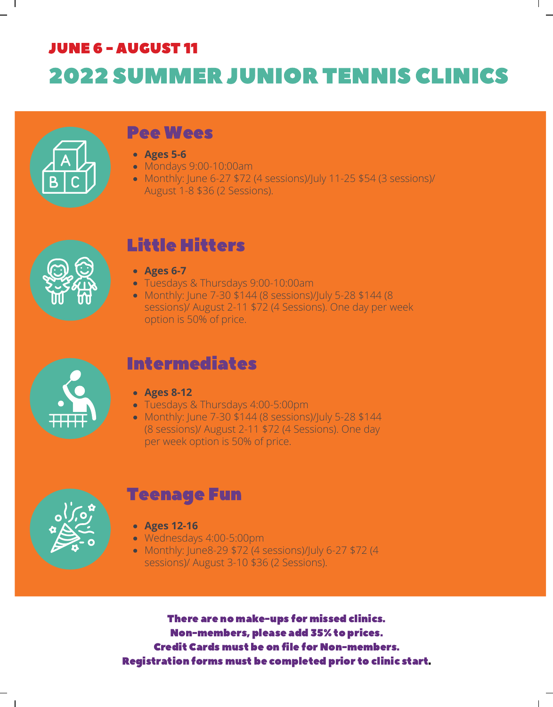# JUNE 6 - AUGUST 11 2022 SUMMER JUNIOR TENNIS CLINICS



#### Pee Wees

- **Ages 5-6**
- Mondays 9:00-10:00am
- Monthly: June 6-27 \$72 (4 sessions)/July 11-25 \$54 (3 sessions)/ August 1-8 \$36 (2 Sessions).



#### Little Hitters

- **Ages 6-7**
- Tuesdays & Thursdays 9:00-10:00am
- Monthly: June 7-30 \$144 (8 sessions)/July 5-28 \$144 (8 sessions)/ August 2-11 \$72 (4 Sessions). One day per week option is 50% of price.



#### Intermediates

- **Ages 8-12**
- Tuesdays & Thursdays 4:00-5:00pm
- Monthly: June 7-30 \$144 (8 sessions)/July 5-28 \$144 (8 sessions)/ August 2-11 \$72 (4 Sessions). One day per week option is 50% of price.



 $\mathbf{I}$ 

#### Teenage Fun

- **Ages 12-16**
- Wednesdays 4:00-5:00pm
- Monthly: June8-29 \$72 (4 sessions)/July 6-27 \$72 (4 sessions)/ August 3-10 \$36 (2 Sessions).

There are no make-ups for missed clinics. Non-members, please add 35% to prices. Credit Cards must be on file for Non-members. Registration forms must be completed prior to clinic start.

 $\mathbf{I}$